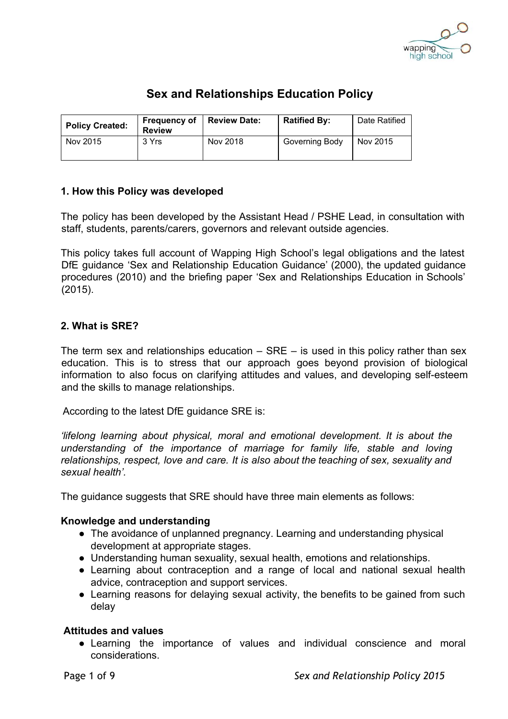

# **Sex and Relationships Education Policy**

| <b>Policy Created:</b> | <b>Frequency of</b><br><b>Review</b> | <b>Review Date:</b> | <b>Ratified By:</b> | Date Ratified |
|------------------------|--------------------------------------|---------------------|---------------------|---------------|
| Nov 2015               | 3 Yrs                                | Nov 2018            | Governing Body      | Nov 2015      |

### **1. How this Policy was developed**

The policy has been developed by the Assistant Head / PSHE Lead, in consultation with staff, students, parents/carers, governors and relevant outside agencies.

This policy takes full account of Wapping High School's legal obligations and the latest DfE guidance 'Sex and Relationship Education Guidance' (2000), the updated guidance procedures (2010) and the briefing paper 'Sex and Relationships Education in Schools' (2015).

### **2. What is SRE?**

The term sex and relationships education  $-$  SRE  $-$  is used in this policy rather than sex education. This is to stress that our approach goes beyond provision of biological information to also focus on clarifying attitudes and values, and developing self-esteem and the skills to manage relationships.

According to the latest DfE guidance SRE is:

*'lifelong learning about physical, moral and emotional development. It is about the understanding of the importance of marriage for family life, stable and loving relationships, respect, love and care. It is also about the teaching of sex, sexuality and sexual health'.*

The guidance suggests that SRE should have three main elements as follows:

### **Knowledge and understanding**

- The avoidance of unplanned pregnancy. Learning and understanding physical development at appropriate stages.
- Understanding human sexuality, sexual health, emotions and relationships.
- Learning about contraception and a range of local and national sexual health advice, contraception and support services.
- Learning reasons for delaying sexual activity, the benefits to be gained from such delay

### **Attitudes and values**

● Learning the importance of values and individual conscience and moral considerations.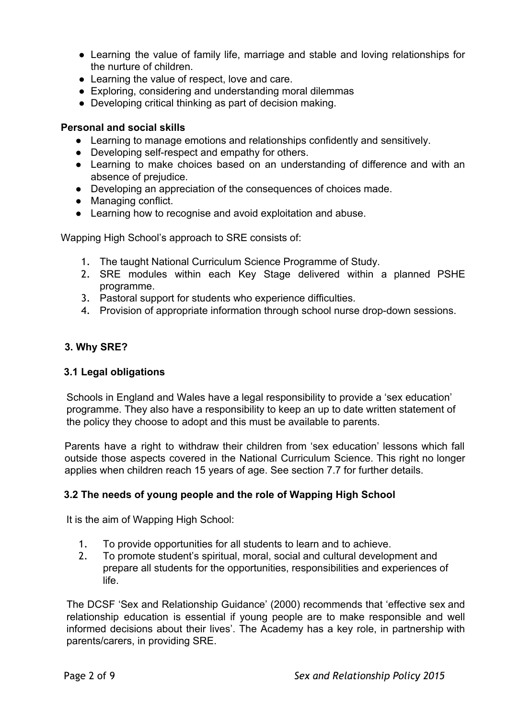- Learning the value of family life, marriage and stable and loving relationships for the nurture of children.
- Learning the value of respect, love and care.
- Exploring, considering and understanding moral dilemmas
- Developing critical thinking as part of decision making.

# **Personal and social skills**

- Learning to manage emotions and relationships confidently and sensitively.
- Developing self-respect and empathy for others.
- Learning to make choices based on an understanding of difference and with an absence of prejudice.
- Developing an appreciation of the consequences of choices made.
- Managing conflict.
- Learning how to recognise and avoid exploitation and abuse.

Wapping High School's approach to SRE consists of:

- 1. The taught National Curriculum Science Programme of Study.
- 2. SRE modules within each Key Stage delivered within a planned PSHE programme.
- 3. Pastoral support for students who experience difficulties.
- 4. Provision of appropriate information through school nurse drop-down sessions.

# **3. Why SRE?**

# **3.1 Legal obligations**

Schools in England and Wales have a legal responsibility to provide a 'sex education' programme. They also have a responsibility to keep an up to date written statement of the policy they choose to adopt and this must be available to parents.

Parents have a right to withdraw their children from 'sex education' lessons which fall outside those aspects covered in the National Curriculum Science. This right no longer applies when children reach 15 years of age. See section 7.7 for further details.

# **3.2 The needs of young people and the role of Wapping High School**

It is the aim of Wapping High School:

- 1. To provide opportunities for all students to learn and to achieve.
- 2. To promote student's spiritual, moral, social and cultural development and prepare all students for the opportunities, responsibilities and experiences of life.

The DCSF 'Sex and Relationship Guidance' (2000) recommends that 'effective sex and relationship education is essential if young people are to make responsible and well informed decisions about their lives'. The Academy has a key role, in partnership with parents/carers, in providing SRE.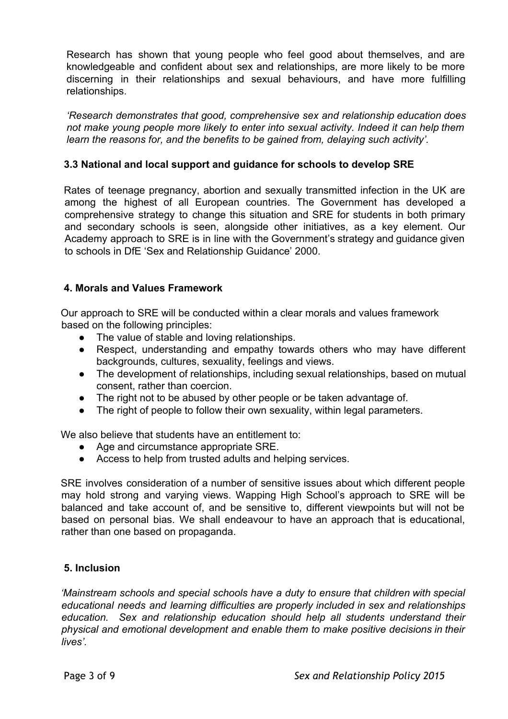Research has shown that young people who feel good about themselves, and are knowledgeable and confident about sex and relationships, are more likely to be more discerning in their relationships and sexual behaviours, and have more fulfilling relationships.

*'Research demonstrates that good, comprehensive sex and relationship education does not make young people more likely to enter into sexual activity. Indeed it can help them learn the reasons for, and the benefits to be gained from, delaying such activity'.*

# **3.3 National and local support and guidance for schools to develop SRE**

Rates of teenage pregnancy, abortion and sexually transmitted infection in the UK are among the highest of all European countries. The Government has developed a comprehensive strategy to change this situation and SRE for students in both primary and secondary schools is seen, alongside other initiatives, as a key element. Our Academy approach to SRE is in line with the Government's strategy and guidance given to schools in DfE 'Sex and Relationship Guidance' 2000.

# **4. Morals and Values Framework**

Our approach to SRE will be conducted within a clear morals and values framework based on the following principles:

- The value of stable and loving relationships.
- Respect, understanding and empathy towards others who may have different backgrounds, cultures, sexuality, feelings and views.
- The development of relationships, including sexual relationships, based on mutual consent, rather than coercion.
- The right not to be abused by other people or be taken advantage of.
- The right of people to follow their own sexuality, within legal parameters.

We also believe that students have an entitlement to:

- Age and circumstance appropriate SRE.
- Access to help from trusted adults and helping services.

SRE involves consideration of a number of sensitive issues about which different people may hold strong and varying views. Wapping High School's approach to SRE will be balanced and take account of, and be sensitive to, different viewpoints but will not be based on personal bias. We shall endeavour to have an approach that is educational, rather than one based on propaganda.

# **5. Inclusion**

*'Mainstream schools and special schools have a duty to ensure that children with special educational needs and learning difficulties are properly included in sex and relationships education. Sex and relationship education should help all students understand their physical and emotional development and enable them to make positive decisions in their lives'.*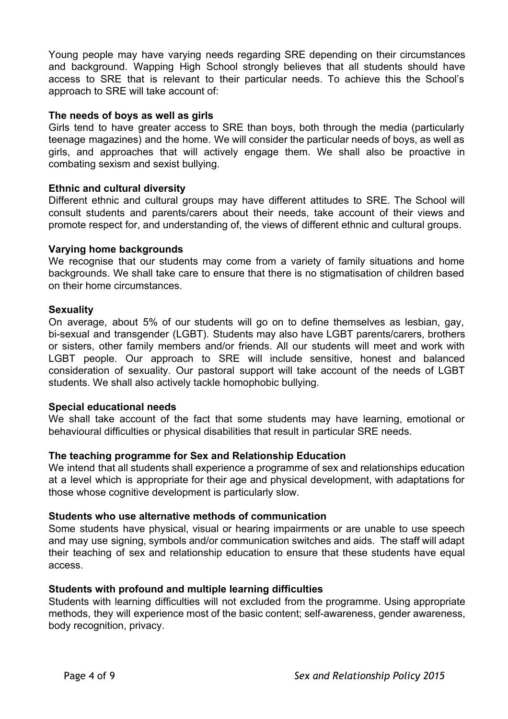Young people may have varying needs regarding SRE depending on their circumstances and background. Wapping High School strongly believes that all students should have access to SRE that is relevant to their particular needs. To achieve this the School's approach to SRE will take account of:

### **The needs of boys as well as girls**

Girls tend to have greater access to SRE than boys, both through the media (particularly teenage magazines) and the home. We will consider the particular needs of boys, as well as girls, and approaches that will actively engage them. We shall also be proactive in combating sexism and sexist bullying.

#### **Ethnic and cultural diversity**

Different ethnic and cultural groups may have different attitudes to SRE. The School will consult students and parents/carers about their needs, take account of their views and promote respect for, and understanding of, the views of different ethnic and cultural groups.

#### **Varying home backgrounds**

We recognise that our students may come from a variety of family situations and home backgrounds. We shall take care to ensure that there is no stigmatisation of children based on their home circumstances.

#### **Sexuality**

On average, about 5% of our students will go on to define themselves as lesbian, gay, bi-sexual and transgender (LGBT). Students may also have LGBT parents/carers, brothers or sisters, other family members and/or friends. All our students will meet and work with LGBT people. Our approach to SRE will include sensitive, honest and balanced consideration of sexuality. Our pastoral support will take account of the needs of LGBT students. We shall also actively tackle homophobic bullying.

#### **Special educational needs**

We shall take account of the fact that some students may have learning, emotional or behavioural difficulties or physical disabilities that result in particular SRE needs.

### **The teaching programme for Sex and Relationship Education**

We intend that all students shall experience a programme of sex and relationships education at a level which is appropriate for their age and physical development, with adaptations for those whose cognitive development is particularly slow.

#### **Students who use alternative methods of communication**

Some students have physical, visual or hearing impairments or are unable to use speech and may use signing, symbols and/or communication switches and aids. The staff will adapt their teaching of sex and relationship education to ensure that these students have equal access.

#### **Students with profound and multiple learning difficulties**

Students with learning difficulties will not excluded from the programme. Using appropriate methods, they will experience most of the basic content; self-awareness, gender awareness, body recognition, privacy.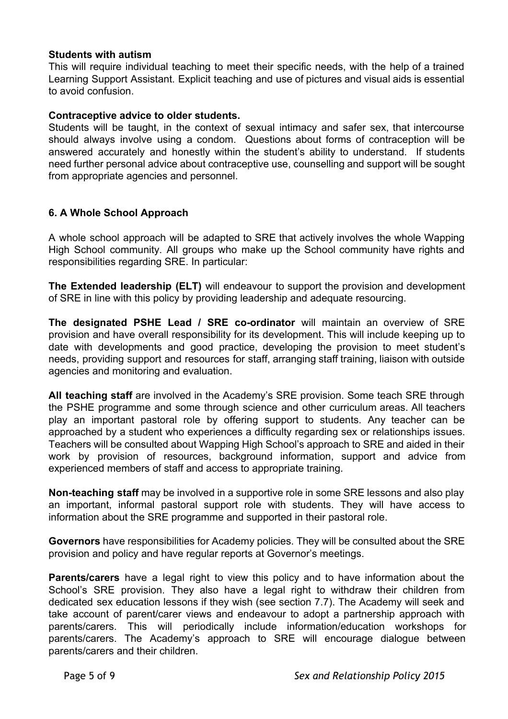### **Students with autism**

This will require individual teaching to meet their specific needs, with the help of a trained Learning Support Assistant. Explicit teaching and use of pictures and visual aids is essential to avoid confusion.

### **Contraceptive advice to older students.**

Students will be taught, in the context of sexual intimacy and safer sex, that intercourse should always involve using a condom. Questions about forms of contraception will be answered accurately and honestly within the student's ability to understand. If students need further personal advice about contraceptive use, counselling and support will be sought from appropriate agencies and personnel.

### **6. A Whole School Approach**

A whole school approach will be adapted to SRE that actively involves the whole Wapping High School community. All groups who make up the School community have rights and responsibilities regarding SRE. In particular:

**The Extended leadership (ELT)** will endeavour to support the provision and development of SRE in line with this policy by providing leadership and adequate resourcing.

**The designated PSHE Lead / SRE co-ordinator** will maintain an overview of SRE provision and have overall responsibility for its development. This will include keeping up to date with developments and good practice, developing the provision to meet student's needs, providing support and resources for staff, arranging staff training, liaison with outside agencies and monitoring and evaluation.

**All teaching staff** are involved in the Academy's SRE provision. Some teach SRE through the PSHE programme and some through science and other curriculum areas. All teachers play an important pastoral role by offering support to students. Any teacher can be approached by a student who experiences a difficulty regarding sex or relationships issues. Teachers will be consulted about Wapping High School's approach to SRE and aided in their work by provision of resources, background information, support and advice from experienced members of staff and access to appropriate training.

**Non-teaching staff** may be involved in a supportive role in some SRE lessons and also play an important, informal pastoral support role with students. They will have access to information about the SRE programme and supported in their pastoral role.

**Governors** have responsibilities for Academy policies. They will be consulted about the SRE provision and policy and have regular reports at Governor's meetings.

**Parents/carers** have a legal right to view this policy and to have information about the School's SRE provision. They also have a legal right to withdraw their children from dedicated sex education lessons if they wish (see section 7.7). The Academy will seek and take account of parent/carer views and endeavour to adopt a partnership approach with parents/carers. This will periodically include information/education workshops for parents/carers. The Academy's approach to SRE will encourage dialogue between parents/carers and their children.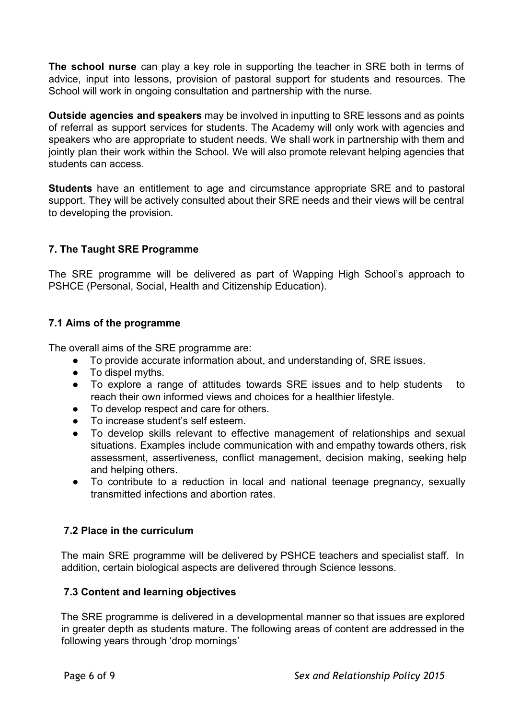**The school nurse** can play a key role in supporting the teacher in SRE both in terms of advice, input into lessons, provision of pastoral support for students and resources. The School will work in ongoing consultation and partnership with the nurse.

**Outside agencies and speakers** may be involved in inputting to SRE lessons and as points of referral as support services for students. The Academy will only work with agencies and speakers who are appropriate to student needs. We shall work in partnership with them and jointly plan their work within the School. We will also promote relevant helping agencies that students can access.

**Students** have an entitlement to age and circumstance appropriate SRE and to pastoral support. They will be actively consulted about their SRE needs and their views will be central to developing the provision.

# **7. The Taught SRE Programme**

The SRE programme will be delivered as part of Wapping High School's approach to PSHCE (Personal, Social, Health and Citizenship Education).

# **7.1 Aims of the programme**

The overall aims of the SRE programme are:

- To provide accurate information about, and understanding of, SRE issues.
- To dispel myths.
- To explore a range of attitudes towards SRE issues and to help students to reach their own informed views and choices for a healthier lifestyle.
- To develop respect and care for others.
- To increase student's self esteem.
- To develop skills relevant to effective management of relationships and sexual situations. Examples include communication with and empathy towards others, risk assessment, assertiveness, conflict management, decision making, seeking help and helping others.
- To contribute to a reduction in local and national teenage pregnancy, sexually transmitted infections and abortion rates.

# **7.2 Place in the curriculum**

The main SRE programme will be delivered by PSHCE teachers and specialist staff. In addition, certain biological aspects are delivered through Science lessons.

# **7.3 Content and learning objectives**

The SRE programme is delivered in a developmental manner so that issues are explored in greater depth as students mature. The following areas of content are addressed in the following years through 'drop mornings'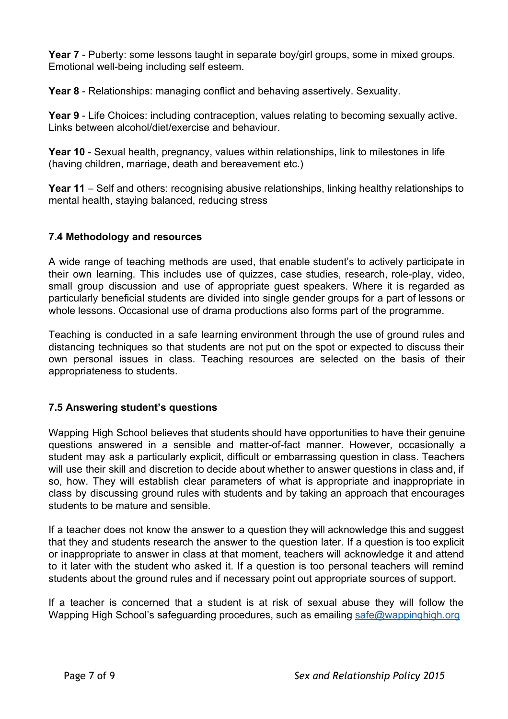**Year 7** - Puberty: some lessons taught in separate boy/girl groups, some in mixed groups. Emotional well-being including self esteem.

**Year 8** - Relationships: managing conflict and behaving assertively. Sexuality.

**Year 9** - Life Choices: including contraception, values relating to becoming sexually active. Links between alcohol/diet/exercise and behaviour.

**Year 10** - Sexual health, pregnancy, values within relationships, link to milestones in life (having children, marriage, death and bereavement etc.)

**Year 11**– Self and others: recognising abusive relationships, linking healthy relationships to mental health, staying balanced, reducing stress

# **7.4 Methodology and resources**

A wide range of teaching methods are used, that enable student's to actively participate in their own learning. This includes use of quizzes, case studies, research, role-play, video, small group discussion and use of appropriate guest speakers. Where it is regarded as particularly beneficial students are divided into single gender groups for a part of lessons or whole lessons. Occasional use of drama productions also forms part of the programme.

Teaching is conducted in a safe learning environment through the use of ground rules and distancing techniques so that students are not put on the spot or expected to discuss their own personal issues in class. Teaching resources are selected on the basis of their appropriateness to students.

# **7.5 Answering student's questions**

Wapping High School believes that students should have opportunities to have their genuine questions answered in a sensible and matter-of-fact manner. However, occasionally a student may ask a particularly explicit, difficult or embarrassing question in class. Teachers will use their skill and discretion to decide about whether to answer questions in class and, if so, how. They will establish clear parameters of what is appropriate and inappropriate in class by discussing ground rules with students and by taking an approach that encourages students to be mature and sensible.

If a teacher does not know the answer to a question they will acknowledge this and suggest that they and students research the answer to the question later. If a question is too explicit or inappropriate to answer in class at that moment, teachers will acknowledge it and attend to it later with the student who asked it. If a question is too personal teachers will remind students about the ground rules and if necessary point out appropriate sources of support.

If a teacher is concerned that a student is at risk of sexual abuse they will follow the Wapping High School's safeguarding procedures, such as emailing [safe@wappinghigh.org](mailto:safe@wappinghigh.org)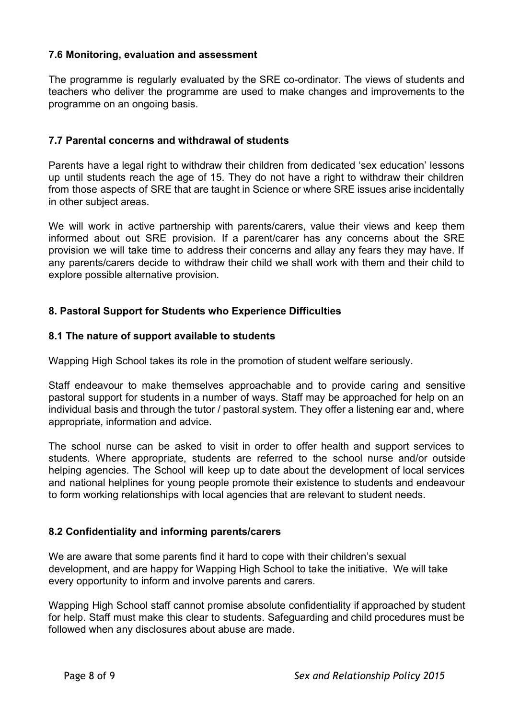### **7.6 Monitoring, evaluation and assessment**

The programme is regularly evaluated by the SRE co-ordinator. The views of students and teachers who deliver the programme are used to make changes and improvements to the programme on an ongoing basis.

### **7.7 Parental concerns and withdrawal of students**

Parents have a legal right to withdraw their children from dedicated 'sex education' lessons up until students reach the age of 15. They do not have a right to withdraw their children from those aspects of SRE that are taught in Science or where SRE issues arise incidentally in other subject areas.

We will work in active partnership with parents/carers, value their views and keep them informed about out SRE provision. If a parent/carer has any concerns about the SRE provision we will take time to address their concerns and allay any fears they may have. If any parents/carers decide to withdraw their child we shall work with them and their child to explore possible alternative provision.

### **8. Pastoral Support for Students who Experience Difficulties**

### **8.1 The nature of support available to students**

Wapping High School takes its role in the promotion of student welfare seriously.

Staff endeavour to make themselves approachable and to provide caring and sensitive pastoral support for students in a number of ways. Staff may be approached for help on an individual basis and through the tutor / pastoral system. They offer a listening ear and, where appropriate, information and advice.

The school nurse can be asked to visit in order to offer health and support services to students. Where appropriate, students are referred to the school nurse and/or outside helping agencies. The School will keep up to date about the development of local services and national helplines for young people promote their existence to students and endeavour to form working relationships with local agencies that are relevant to student needs.

### **8.2 Confidentiality and informing parents/carers**

We are aware that some parents find it hard to cope with their children's sexual development, and are happy for Wapping High School to take the initiative. We will take every opportunity to inform and involve parents and carers.

Wapping High School staff cannot promise absolute confidentiality if approached by student for help. Staff must make this clear to students. Safeguarding and child procedures must be followed when any disclosures about abuse are made.